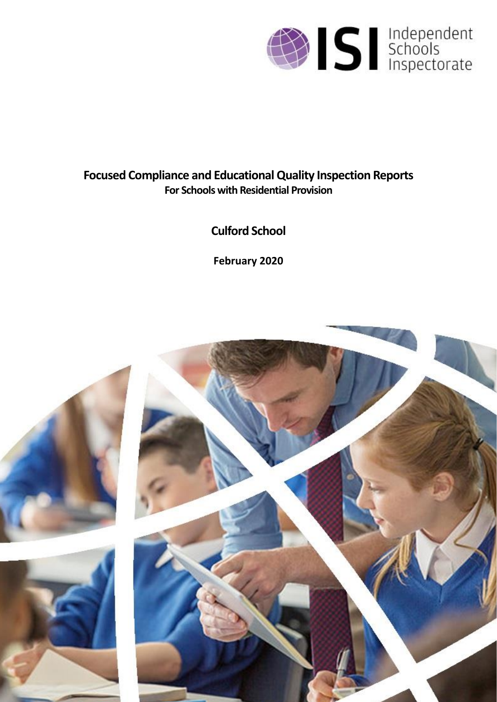

# **Focused Compliance and Educational Quality Inspection Reports For Schools with Residential Provision**

**Culford School**

**February 2020**

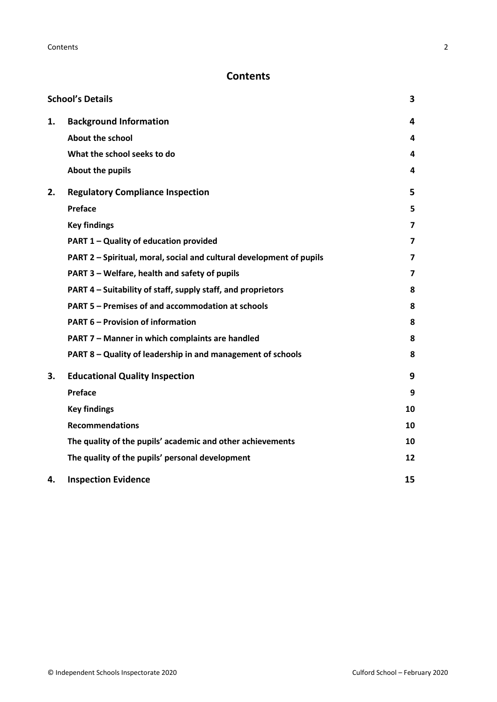## **Contents**

|    | <b>School's Details</b>                                              | 3              |
|----|----------------------------------------------------------------------|----------------|
| 1. | <b>Background Information</b>                                        | 4              |
|    | About the school                                                     | 4              |
|    | What the school seeks to do                                          | 4              |
|    | About the pupils                                                     | 4              |
| 2. | <b>Regulatory Compliance Inspection</b>                              | 5              |
|    | <b>Preface</b>                                                       | 5              |
|    | <b>Key findings</b>                                                  | 7              |
|    | PART 1 - Quality of education provided                               | $\overline{7}$ |
|    | PART 2 - Spiritual, moral, social and cultural development of pupils | $\overline{7}$ |
|    | PART 3 - Welfare, health and safety of pupils                        | $\overline{7}$ |
|    | PART 4 - Suitability of staff, supply staff, and proprietors         | 8              |
|    | PART 5 - Premises of and accommodation at schools                    | 8              |
|    | <b>PART 6 - Provision of information</b>                             | 8              |
|    | PART 7 - Manner in which complaints are handled                      | 8              |
|    | PART 8 - Quality of leadership in and management of schools          | 8              |
| 3. | <b>Educational Quality Inspection</b>                                | 9              |
|    | <b>Preface</b>                                                       | 9              |
|    | <b>Key findings</b>                                                  | 10             |
|    | <b>Recommendations</b>                                               | 10             |
|    | The quality of the pupils' academic and other achievements           | 10             |
|    | The quality of the pupils' personal development                      | 12             |
| 4. | <b>Inspection Evidence</b>                                           | 15             |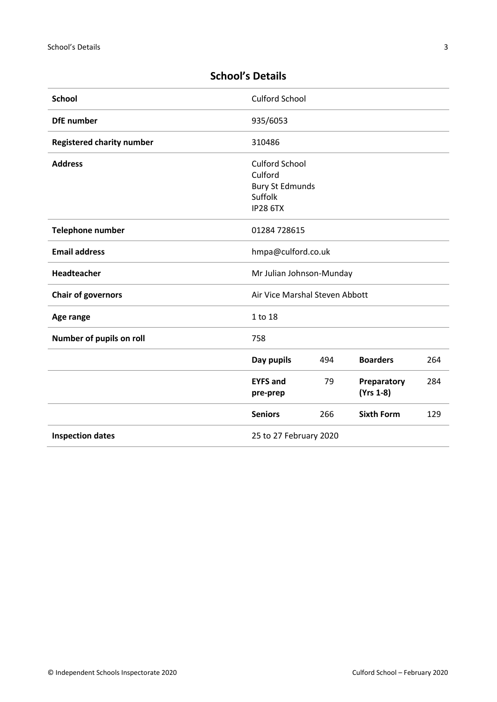<span id="page-2-0"></span>

| <b>School</b>                    | <b>Culford School</b>                                                                    |     |                          |     |
|----------------------------------|------------------------------------------------------------------------------------------|-----|--------------------------|-----|
| <b>DfE</b> number                | 935/6053                                                                                 |     |                          |     |
| <b>Registered charity number</b> | 310486                                                                                   |     |                          |     |
| <b>Address</b>                   | <b>Culford School</b><br>Culford<br><b>Bury St Edmunds</b><br>Suffolk<br><b>IP28 6TX</b> |     |                          |     |
| Telephone number                 | 01284 728615                                                                             |     |                          |     |
| <b>Email address</b>             | hmpa@culford.co.uk                                                                       |     |                          |     |
| Headteacher                      | Mr Julian Johnson-Munday                                                                 |     |                          |     |
| <b>Chair of governors</b>        | Air Vice Marshal Steven Abbott                                                           |     |                          |     |
| Age range                        | 1 to 18                                                                                  |     |                          |     |
| Number of pupils on roll         | 758                                                                                      |     |                          |     |
|                                  | Day pupils                                                                               | 494 | <b>Boarders</b>          | 264 |
|                                  | <b>EYFS and</b><br>pre-prep                                                              | 79  | Preparatory<br>(Yrs 1-8) | 284 |
|                                  | <b>Seniors</b>                                                                           | 266 | <b>Sixth Form</b>        | 129 |

**Inspection dates** 25 to 27 February 2020

## **School's Details**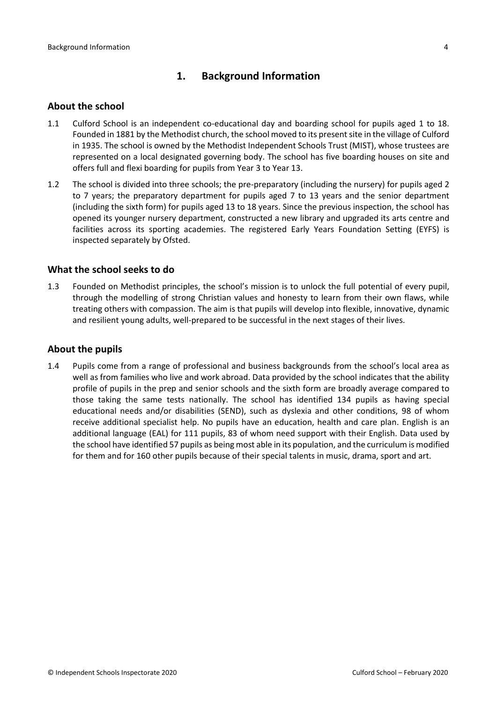## **1. Background Information**

#### <span id="page-3-1"></span><span id="page-3-0"></span>**About the school**

- 1.1 Culford School is an independent co-educational day and boarding school for pupils aged 1 to 18. Founded in 1881 by the Methodist church, the school moved to its present site in the village of Culford in 1935. The school is owned by the Methodist Independent Schools Trust (MIST), whose trustees are represented on a local designated governing body. The school has five boarding houses on site and offers full and flexi boarding for pupils from Year 3 to Year 13.
- 1.2 The school is divided into three schools; the pre-preparatory (including the nursery) for pupils aged 2 to 7 years; the preparatory department for pupils aged 7 to 13 years and the senior department (including the sixth form) for pupils aged 13 to 18 years. Since the previous inspection, the school has opened its younger nursery department, constructed a new library and upgraded its arts centre and facilities across its sporting academies. The registered Early Years Foundation Setting (EYFS) is inspected separately by Ofsted.

#### <span id="page-3-2"></span>**What the school seeks to do**

1.3 Founded on Methodist principles, the school's mission is to unlock the full potential of every pupil, through the modelling of strong Christian values and honesty to learn from their own flaws, while treating others with compassion. The aim is that pupils will develop into flexible, innovative, dynamic and resilient young adults, well-prepared to be successful in the next stages of their lives.

#### <span id="page-3-3"></span>**About the pupils**

1.4 Pupils come from a range of professional and business backgrounds from the school's local area as well as from families who live and work abroad. Data provided by the school indicates that the ability profile of pupils in the prep and senior schools and the sixth form are broadly average compared to those taking the same tests nationally. The school has identified 134 pupils as having special educational needs and/or disabilities (SEND), such as dyslexia and other conditions, 98 of whom receive additional specialist help. No pupils have an education, health and care plan. English is an additional language (EAL) for 111 pupils, 83 of whom need support with their English. Data used by the school have identified 57 pupils as being most able in its population, and the curriculum is modified for them and for 160 other pupils because of their special talents in music, drama, sport and art.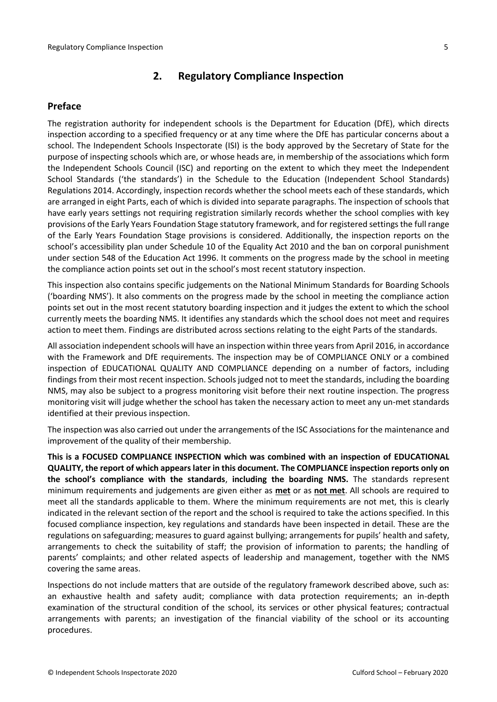## **2. Regulatory Compliance Inspection**

#### <span id="page-4-1"></span><span id="page-4-0"></span>**Preface**

The registration authority for independent schools is the Department for Education (DfE), which directs inspection according to a specified frequency or at any time where the DfE has particular concerns about a school. The Independent Schools Inspectorate (ISI) is the body approved by the Secretary of State for the purpose of inspecting schools which are, or whose heads are, in membership of the associations which form the Independent Schools Council (ISC) and reporting on the extent to which they meet the Independent School Standards ('the standards') in the Schedule to the Education (Independent School Standards) Regulations 2014. Accordingly, inspection records whether the school meets each of these standards, which are arranged in eight Parts, each of which is divided into separate paragraphs. The inspection of schools that have early years settings not requiring registration similarly records whether the school complies with key provisions of the Early Years Foundation Stage statutory framework, and for registered settings the full range of the Early Years Foundation Stage provisions is considered. Additionally, the inspection reports on the school's accessibility plan under Schedule 10 of the Equality Act 2010 and the ban on corporal punishment under section 548 of the Education Act 1996. It comments on the progress made by the school in meeting the compliance action points set out in the school's most recent statutory inspection.

This inspection also contains specific judgements on the National Minimum Standards for Boarding Schools ('boarding NMS'). It also comments on the progress made by the school in meeting the compliance action points set out in the most recent statutory boarding inspection and it judges the extent to which the school currently meets the boarding NMS. It identifies any standards which the school does not meet and requires action to meet them. Findings are distributed across sections relating to the eight Parts of the standards.

All association independent schools will have an inspection within three years from April 2016, in accordance with the Framework and DfE requirements. The inspection may be of COMPLIANCE ONLY or a combined inspection of EDUCATIONAL QUALITY AND COMPLIANCE depending on a number of factors, including findings from their most recent inspection. Schools judged not to meet the standards, including the boarding NMS, may also be subject to a progress monitoring visit before their next routine inspection. The progress monitoring visit will judge whether the school has taken the necessary action to meet any un-met standards identified at their previous inspection.

The inspection was also carried out under the arrangements of the ISC Associations for the maintenance and improvement of the quality of their membership.

**This is a FOCUSED COMPLIANCE INSPECTION which was combined with an inspection of EDUCATIONAL QUALITY, the report of which appears later in this document. The COMPLIANCE inspection reports only on the school's compliance with the standards**, **including the boarding NMS.** The standards represent minimum requirements and judgements are given either as **met** or as **not met**. All schools are required to meet all the standards applicable to them. Where the minimum requirements are not met, this is clearly indicated in the relevant section of the report and the school is required to take the actions specified. In this focused compliance inspection, key regulations and standards have been inspected in detail. These are the regulations on safeguarding; measures to guard against bullying; arrangements for pupils' health and safety, arrangements to check the suitability of staff; the provision of information to parents; the handling of parents' complaints; and other related aspects of leadership and management, together with the NMS covering the same areas.

Inspections do not include matters that are outside of the regulatory framework described above, such as: an exhaustive health and safety audit; compliance with data protection requirements; an in-depth examination of the structural condition of the school, its services or other physical features; contractual arrangements with parents; an investigation of the financial viability of the school or its accounting procedures.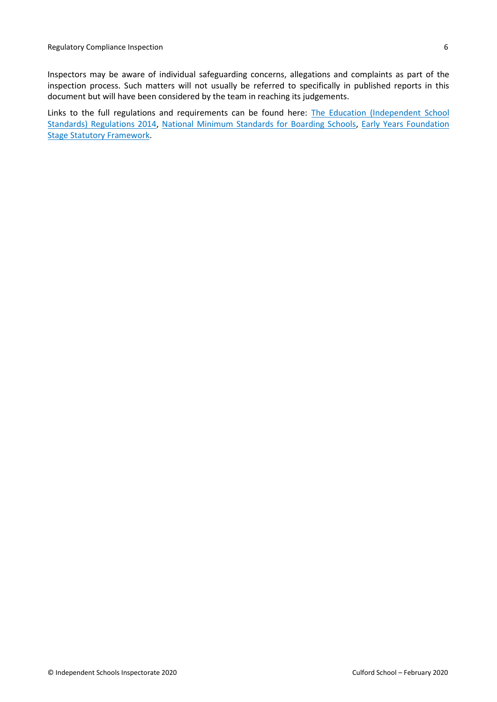Links to the full regulations and requirements can be found here: The Education (Independent School [Standards\) Regulations 2014,](http://www.legislation.gov.uk/uksi/2014/3283/contents/made) [National Minimum Standards for Boarding Schools,](https://www.gov.uk/government/uploads/system/uploads/attachment_data/file/416186/20150319_nms_bs_standards.pdf) [Early Years Foundation](https://www.gov.uk/government/publications/early-years-foundation-stage-framework--2)  [Stage Statutory Framework.](https://www.gov.uk/government/publications/early-years-foundation-stage-framework--2)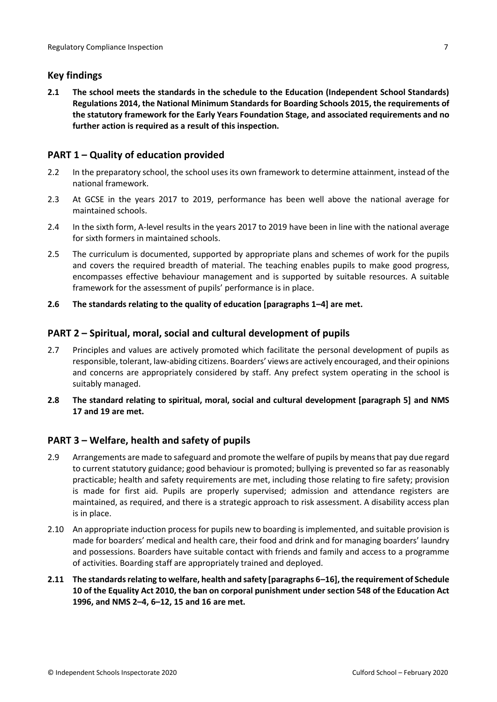## <span id="page-6-0"></span>**Key findings**

**2.1 The school meets the standards in the schedule to the Education (Independent School Standards) Regulations 2014, the National Minimum Standards for Boarding Schools 2015, the requirements of the statutory framework for the Early Years Foundation Stage, and associated requirements and no further action is required as a result of this inspection.**

## <span id="page-6-1"></span>**PART 1 – Quality of education provided**

- 2.2 In the preparatory school, the school uses its own framework to determine attainment, instead of the national framework.
- 2.3 At GCSE in the years 2017 to 2019, performance has been well above the national average for maintained schools.
- 2.4 In the sixth form, A-level results in the years 2017 to 2019 have been in line with the national average for sixth formers in maintained schools.
- 2.5 The curriculum is documented, supported by appropriate plans and schemes of work for the pupils and covers the required breadth of material. The teaching enables pupils to make good progress, encompasses effective behaviour management and is supported by suitable resources. A suitable framework for the assessment of pupils' performance is in place.
- **2.6 The standards relating to the quality of education [paragraphs 1–4] are met.**

## <span id="page-6-2"></span>**PART 2 – Spiritual, moral, social and cultural development of pupils**

- 2.7 Principles and values are actively promoted which facilitate the personal development of pupils as responsible, tolerant, law-abiding citizens. Boarders' views are actively encouraged, and their opinions and concerns are appropriately considered by staff. Any prefect system operating in the school is suitably managed.
- **2.8 The standard relating to spiritual, moral, social and cultural development [paragraph 5] and NMS 17 and 19 are met.**

## <span id="page-6-3"></span>**PART 3 – Welfare, health and safety of pupils**

- 2.9 Arrangements are made to safeguard and promote the welfare of pupils by means that pay due regard to current statutory guidance; good behaviour is promoted; bullying is prevented so far as reasonably practicable; health and safety requirements are met, including those relating to fire safety; provision is made for first aid. Pupils are properly supervised; admission and attendance registers are maintained, as required, and there is a strategic approach to risk assessment. A disability access plan is in place.
- 2.10 An appropriate induction process for pupils new to boarding is implemented, and suitable provision is made for boarders' medical and health care, their food and drink and for managing boarders' laundry and possessions. Boarders have suitable contact with friends and family and access to a programme of activities. Boarding staff are appropriately trained and deployed.
- **2.11 The standards relating to welfare, health and safety [paragraphs 6–16], the requirement of Schedule 10 of the Equality Act 2010, the ban on corporal punishment under section 548 of the Education Act 1996, and NMS 2–4, 6–12, 15 and 16 are met.**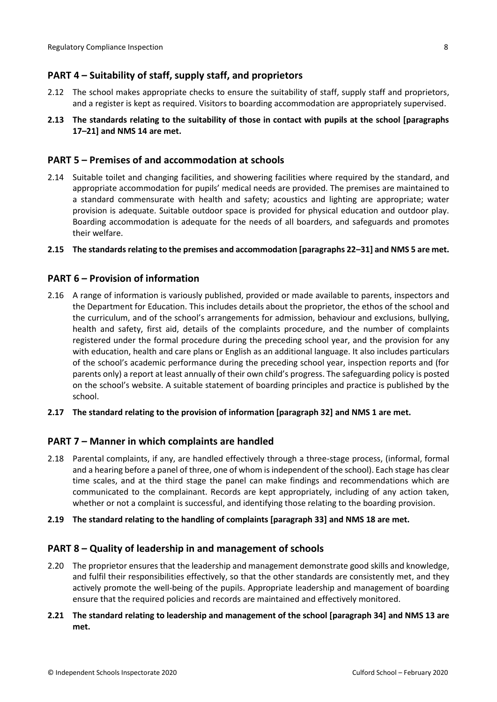## <span id="page-7-0"></span>**PART 4 – Suitability of staff, supply staff, and proprietors**

- 2.12 The school makes appropriate checks to ensure the suitability of staff, supply staff and proprietors, and a register is kept as required. Visitors to boarding accommodation are appropriately supervised.
- **2.13 The standards relating to the suitability of those in contact with pupils at the school [paragraphs 17–21] and NMS 14 are met.**

#### <span id="page-7-1"></span>**PART 5 – Premises of and accommodation at schools**

- 2.14 Suitable toilet and changing facilities, and showering facilities where required by the standard, and appropriate accommodation for pupils' medical needs are provided. The premises are maintained to a standard commensurate with health and safety; acoustics and lighting are appropriate; water provision is adequate. Suitable outdoor space is provided for physical education and outdoor play. Boarding accommodation is adequate for the needs of all boarders, and safeguards and promotes their welfare.
- **2.15 The standards relating to the premises and accommodation [paragraphs 22–31] and NMS 5 are met.**

#### <span id="page-7-2"></span>**PART 6 – Provision of information**

- 2.16 A range of information is variously published, provided or made available to parents, inspectors and the Department for Education. This includes details about the proprietor, the ethos of the school and the curriculum, and of the school's arrangements for admission, behaviour and exclusions, bullying, health and safety, first aid, details of the complaints procedure, and the number of complaints registered under the formal procedure during the preceding school year, and the provision for any with education, health and care plans or English as an additional language. It also includes particulars of the school's academic performance during the preceding school year, inspection reports and (for parents only) a report at least annually of their own child's progress. The safeguarding policy is posted on the school's website. A suitable statement of boarding principles and practice is published by the school.
- **2.17 The standard relating to the provision of information [paragraph 32] and NMS 1 are met.**

#### <span id="page-7-3"></span>**PART 7 – Manner in which complaints are handled**

2.18 Parental complaints, if any, are handled effectively through a three-stage process, (informal, formal and a hearing before a panel of three, one of whom is independent of the school). Each stage has clear time scales, and at the third stage the panel can make findings and recommendations which are communicated to the complainant. Records are kept appropriately, including of any action taken, whether or not a complaint is successful, and identifying those relating to the boarding provision.

#### **2.19 The standard relating to the handling of complaints [paragraph 33] and NMS 18 are met.**

#### <span id="page-7-4"></span>**PART 8 – Quality of leadership in and management of schools**

2.20 The proprietor ensures that the leadership and management demonstrate good skills and knowledge, and fulfil their responsibilities effectively, so that the other standards are consistently met, and they actively promote the well-being of the pupils. Appropriate leadership and management of boarding ensure that the required policies and records are maintained and effectively monitored.

#### **2.21 The standard relating to leadership and management of the school [paragraph 34] and NMS 13 are met.**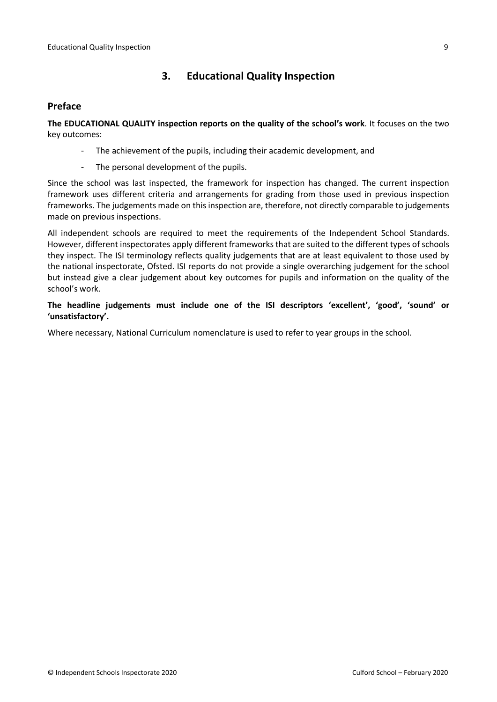## **3. Educational Quality Inspection**

#### <span id="page-8-1"></span><span id="page-8-0"></span>**Preface**

**The EDUCATIONAL QUALITY inspection reports on the quality of the school's work**. It focuses on the two key outcomes:

- The achievement of the pupils, including their academic development, and
- The personal development of the pupils.

Since the school was last inspected, the framework for inspection has changed. The current inspection framework uses different criteria and arrangements for grading from those used in previous inspection frameworks. The judgements made on this inspection are, therefore, not directly comparable to judgements made on previous inspections.

All independent schools are required to meet the requirements of the Independent School Standards. However, different inspectorates apply different frameworks that are suited to the different types of schools they inspect. The ISI terminology reflects quality judgements that are at least equivalent to those used by the national inspectorate, Ofsted. ISI reports do not provide a single overarching judgement for the school but instead give a clear judgement about key outcomes for pupils and information on the quality of the school's work.

**The headline judgements must include one of the ISI descriptors 'excellent', 'good', 'sound' or 'unsatisfactory'.**

Where necessary, National Curriculum nomenclature is used to refer to year groups in the school.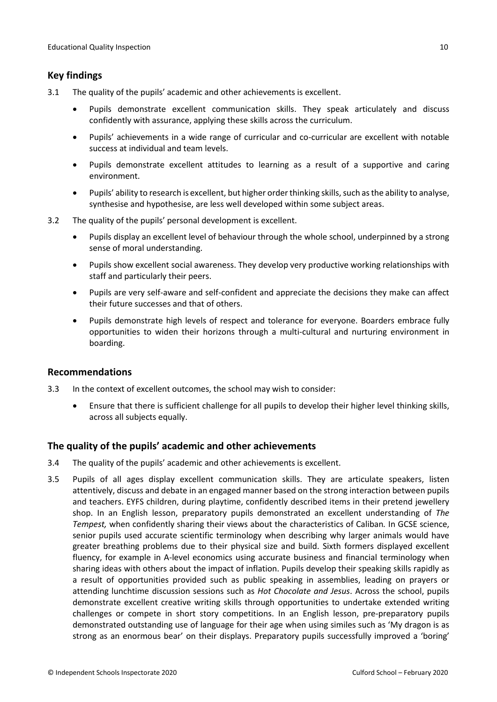## <span id="page-9-0"></span>**Key findings**

- 3.1 The quality of the pupils' academic and other achievements is excellent.
	- Pupils demonstrate excellent communication skills. They speak articulately and discuss confidently with assurance, applying these skills across the curriculum.
	- Pupils' achievements in a wide range of curricular and co-curricular are excellent with notable success at individual and team levels.
	- Pupils demonstrate excellent attitudes to learning as a result of a supportive and caring environment.
	- Pupils' ability to research is excellent, but higher order thinking skills, such as the ability to analyse, synthesise and hypothesise, are less well developed within some subject areas.
- 3.2 The quality of the pupils' personal development is excellent.
	- Pupils display an excellent level of behaviour through the whole school, underpinned by a strong sense of moral understanding.
	- Pupils show excellent social awareness. They develop very productive working relationships with staff and particularly their peers.
	- Pupils are very self-aware and self-confident and appreciate the decisions they make can affect their future successes and that of others.
	- Pupils demonstrate high levels of respect and tolerance for everyone. Boarders embrace fully opportunities to widen their horizons through a multi-cultural and nurturing environment in boarding.

#### <span id="page-9-1"></span>**Recommendations**

- 3.3 In the context of excellent outcomes, the school may wish to consider:
	- Ensure that there is sufficient challenge for all pupils to develop their higher level thinking skills, across all subjects equally.

#### <span id="page-9-2"></span>**The quality of the pupils' academic and other achievements**

- 3.4 The quality of the pupils' academic and other achievements is excellent.
- 3.5 Pupils of all ages display excellent communication skills. They are articulate speakers, listen attentively, discuss and debate in an engaged manner based on the strong interaction between pupils and teachers. EYFS children, during playtime, confidently described items in their pretend jewellery shop. In an English lesson, preparatory pupils demonstrated an excellent understanding of *The Tempest,* when confidently sharing their views about the characteristics of Caliban*.* In GCSE science, senior pupils used accurate scientific terminology when describing why larger animals would have greater breathing problems due to their physical size and build. Sixth formers displayed excellent fluency, for example in A-level economics using accurate business and financial terminology when sharing ideas with others about the impact of inflation. Pupils develop their speaking skills rapidly as a result of opportunities provided such as public speaking in assemblies, leading on prayers or attending lunchtime discussion sessions such as *Hot Chocolate and Jesus*. Across the school, pupils demonstrate excellent creative writing skills through opportunities to undertake extended writing challenges or compete in short story competitions. In an English lesson, pre-preparatory pupils demonstrated outstanding use of language for their age when using similes such as 'My dragon is as strong as an enormous bear' on their displays. Preparatory pupils successfully improved a 'boring'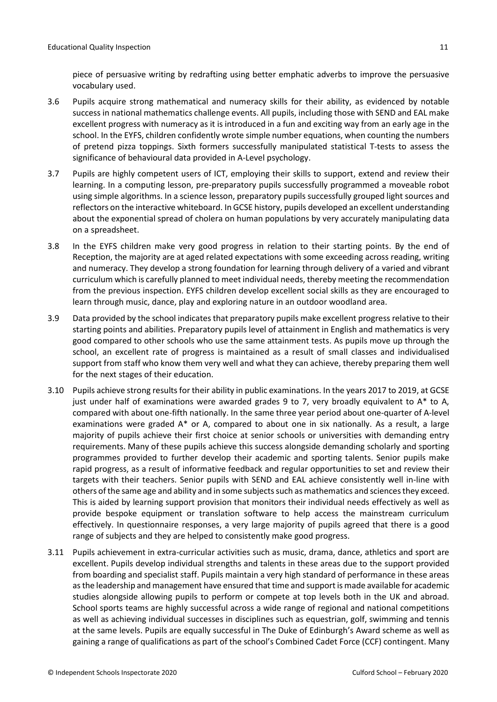piece of persuasive writing by redrafting using better emphatic adverbs to improve the persuasive vocabulary used.

- 3.6 Pupils acquire strong mathematical and numeracy skills for their ability, as evidenced by notable success in national mathematics challenge events. All pupils, including those with SEND and EAL make excellent progress with numeracy as it is introduced in a fun and exciting way from an early age in the school. In the EYFS, children confidently wrote simple number equations, when counting the numbers of pretend pizza toppings. Sixth formers successfully manipulated statistical T-tests to assess the significance of behavioural data provided in A-Level psychology.
- 3.7 Pupils are highly competent users of ICT, employing their skills to support, extend and review their learning. In a computing lesson, pre-preparatory pupils successfully programmed a moveable robot using simple algorithms. In a science lesson, preparatory pupils successfully grouped light sources and reflectors on the interactive whiteboard. In GCSE history, pupils developed an excellent understanding about the exponential spread of cholera on human populations by very accurately manipulating data on a spreadsheet.
- 3.8 In the EYFS children make very good progress in relation to their starting points. By the end of Reception, the majority are at aged related expectations with some exceeding across reading, writing and numeracy. They develop a strong foundation for learning through delivery of a varied and vibrant curriculum which is carefully planned to meet individual needs, thereby meeting the recommendation from the previous inspection. EYFS children develop excellent social skills as they are encouraged to learn through music, dance, play and exploring nature in an outdoor woodland area.
- 3.9 Data provided by the school indicates that preparatory pupils make excellent progress relative to their starting points and abilities. Preparatory pupils level of attainment in English and mathematics is very good compared to other schools who use the same attainment tests. As pupils move up through the school, an excellent rate of progress is maintained as a result of small classes and individualised support from staff who know them very well and what they can achieve, thereby preparing them well for the next stages of their education.
- 3.10 Pupils achieve strong results for their ability in public examinations. In the years 2017 to 2019, at GCSE just under half of examinations were awarded grades 9 to 7, very broadly equivalent to A\* to A, compared with about one-fifth nationally. In the same three year period about one-quarter of A-level examinations were graded A\* or A, compared to about one in six nationally. As a result, a large majority of pupils achieve their first choice at senior schools or universities with demanding entry requirements. Many of these pupils achieve this success alongside demanding scholarly and sporting programmes provided to further develop their academic and sporting talents. Senior pupils make rapid progress, as a result of informative feedback and regular opportunities to set and review their targets with their teachers. Senior pupils with SEND and EAL achieve consistently well in-line with others of the same age and ability and in some subjects such as mathematics and sciences they exceed. This is aided by learning support provision that monitors their individual needs effectively as well as provide bespoke equipment or translation software to help access the mainstream curriculum effectively. In questionnaire responses, a very large majority of pupils agreed that there is a good range of subjects and they are helped to consistently make good progress.
- 3.11 Pupils achievement in extra-curricular activities such as music, drama, dance, athletics and sport are excellent. Pupils develop individual strengths and talents in these areas due to the support provided from boarding and specialist staff. Pupils maintain a very high standard of performance in these areas as the leadership and management have ensured that time and support is made available for academic studies alongside allowing pupils to perform or compete at top levels both in the UK and abroad. School sports teams are highly successful across a wide range of regional and national competitions as well as achieving individual successes in disciplines such as equestrian, golf, swimming and tennis at the same levels. Pupils are equally successful in The Duke of Edinburgh's Award scheme as well as gaining a range of qualifications as part of the school's Combined Cadet Force (CCF) contingent. Many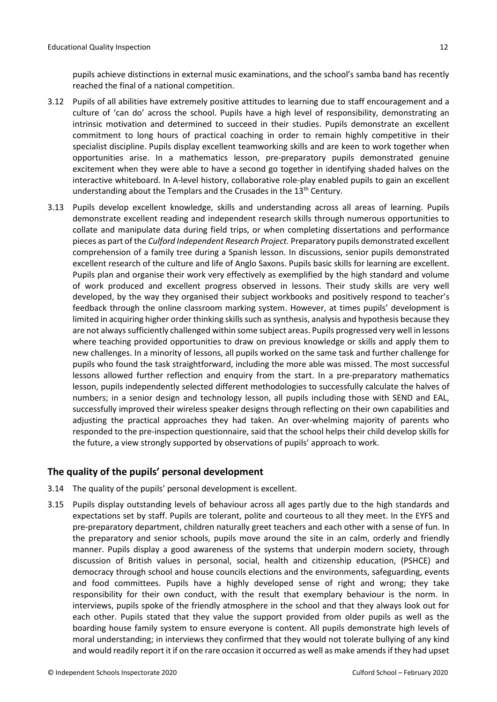pupils achieve distinctions in external music examinations, and the school's samba band has recently reached the final of a national competition.

- 3.12 Pupils of all abilities have extremely positive attitudes to learning due to staff encouragement and a culture of 'can do' across the school. Pupils have a high level of responsibility, demonstrating an intrinsic motivation and determined to succeed in their studies. Pupils demonstrate an excellent commitment to long hours of practical coaching in order to remain highly competitive in their specialist discipline. Pupils display excellent teamworking skills and are keen to work together when opportunities arise. In a mathematics lesson, pre-preparatory pupils demonstrated genuine excitement when they were able to have a second go together in identifying shaded halves on the interactive whiteboard. In A-level history, collaborative role-play enabled pupils to gain an excellent understanding about the Templars and the Crusades in the  $13<sup>th</sup>$  Century.
- 3.13 Pupils develop excellent knowledge, skills and understanding across all areas of learning. Pupils demonstrate excellent reading and independent research skills through numerous opportunities to collate and manipulate data during field trips, or when completing dissertations and performance pieces as part of the *Culford Independent Research Project.* Preparatory pupils demonstrated excellent comprehension of a family tree during a Spanish lesson. In discussions, senior pupils demonstrated excellent research of the culture and life of Anglo Saxons. Pupils basic skills for learning are excellent. Pupils plan and organise their work very effectively as exemplified by the high standard and volume of work produced and excellent progress observed in lessons. Their study skills are very well developed, by the way they organised their subject workbooks and positively respond to teacher's feedback through the online classroom marking system. However, at times pupils' development is limited in acquiring higher order thinking skills such as synthesis, analysis and hypothesis because they are not always sufficiently challenged within some subject areas. Pupils progressed very well in lessons where teaching provided opportunities to draw on previous knowledge or skills and apply them to new challenges. In a minority of lessons, all pupils worked on the same task and further challenge for pupils who found the task straightforward, including the more able was missed. The most successful lessons allowed further reflection and enquiry from the start. In a pre-preparatory mathematics lesson, pupils independently selected different methodologies to successfully calculate the halves of numbers; in a senior design and technology lesson, all pupils including those with SEND and EAL, successfully improved their wireless speaker designs through reflecting on their own capabilities and adjusting the practical approaches they had taken. An over-whelming majority of parents who responded to the pre-inspection questionnaire, said that the school helps their child develop skills for the future, a view strongly supported by observations of pupils' approach to work.

#### <span id="page-11-0"></span>**The quality of the pupils' personal development**

- 3.14 The quality of the pupils' personal development is excellent.
- 3.15 Pupils display outstanding levels of behaviour across all ages partly due to the high standards and expectations set by staff. Pupils are tolerant, polite and courteous to all they meet. In the EYFS and pre-preparatory department, children naturally greet teachers and each other with a sense of fun. In the preparatory and senior schools, pupils move around the site in an calm, orderly and friendly manner. Pupils display a good awareness of the systems that underpin modern society, through discussion of British values in personal, social, health and citizenship education, (PSHCE) and democracy through school and house councils elections and the environments, safeguarding, events and food committees. Pupils have a highly developed sense of right and wrong; they take responsibility for their own conduct, with the result that exemplary behaviour is the norm. In interviews, pupils spoke of the friendly atmosphere in the school and that they always look out for each other. Pupils stated that they value the support provided from older pupils as well as the boarding house family system to ensure everyone is content. All pupils demonstrate high levels of moral understanding; in interviews they confirmed that they would not tolerate bullying of any kind and would readily report it if on the rare occasion it occurred as well as make amends if they had upset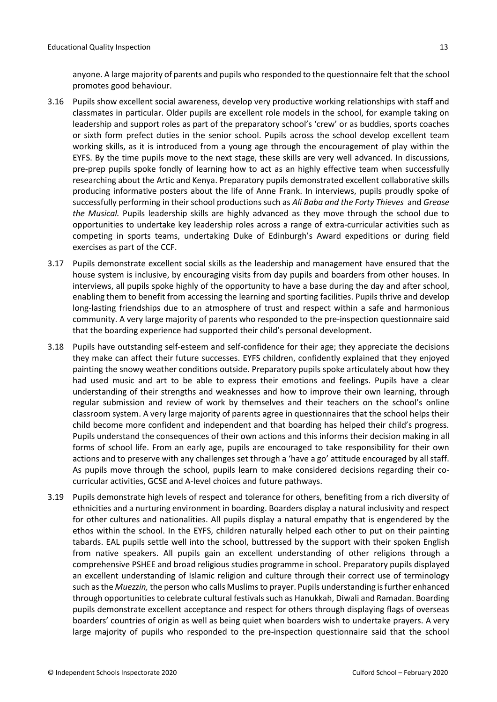anyone. A large majority of parents and pupils who responded to the questionnaire felt that the school promotes good behaviour.

- 3.16 Pupils show excellent social awareness, develop very productive working relationships with staff and classmates in particular. Older pupils are excellent role models in the school, for example taking on leadership and support roles as part of the preparatory school's 'crew' or as buddies, sports coaches or sixth form prefect duties in the senior school. Pupils across the school develop excellent team working skills, as it is introduced from a young age through the encouragement of play within the EYFS. By the time pupils move to the next stage, these skills are very well advanced. In discussions, pre-prep pupils spoke fondly of learning how to act as an highly effective team when successfully researching about the Artic and Kenya. Preparatory pupils demonstrated excellent collaborative skills producing informative posters about the life of Anne Frank. In interviews, pupils proudly spoke of successfully performing in their school productions such as *Ali Baba and the Forty Thieves* and *Grease the Musical.* Pupils leadership skills are highly advanced as they move through the school due to opportunities to undertake key leadership roles across a range of extra-curricular activities such as competing in sports teams, undertaking Duke of Edinburgh's Award expeditions or during field exercises as part of the CCF.
- 3.17 Pupils demonstrate excellent social skills as the leadership and management have ensured that the house system is inclusive, by encouraging visits from day pupils and boarders from other houses. In interviews, all pupils spoke highly of the opportunity to have a base during the day and after school, enabling them to benefit from accessing the learning and sporting facilities. Pupils thrive and develop long-lasting friendships due to an atmosphere of trust and respect within a safe and harmonious community. A very large majority of parents who responded to the pre-inspection questionnaire said that the boarding experience had supported their child's personal development.
- 3.18 Pupils have outstanding self-esteem and self-confidence for their age; they appreciate the decisions they make can affect their future successes. EYFS children, confidently explained that they enjoyed painting the snowy weather conditions outside. Preparatory pupils spoke articulately about how they had used music and art to be able to express their emotions and feelings. Pupils have a clear understanding of their strengths and weaknesses and how to improve their own learning, through regular submission and review of work by themselves and their teachers on the school's online classroom system. A very large majority of parents agree in questionnaires that the school helps their child become more confident and independent and that boarding has helped their child's progress. Pupils understand the consequences of their own actions and this informs their decision making in all forms of school life. From an early age, pupils are encouraged to take responsibility for their own actions and to preserve with any challenges set through a 'have a go' attitude encouraged by all staff. As pupils move through the school, pupils learn to make considered decisions regarding their cocurricular activities, GCSE and A-level choices and future pathways.
- 3.19 Pupils demonstrate high levels of respect and tolerance for others, benefiting from a rich diversity of ethnicities and a nurturing environment in boarding. Boarders display a natural inclusivity and respect for other cultures and nationalities. All pupils display a natural empathy that is engendered by the ethos within the school. In the EYFS, children naturally helped each other to put on their painting tabards. EAL pupils settle well into the school, buttressed by the support with their spoken English from native speakers. All pupils gain an excellent understanding of other religions through a comprehensive PSHEE and broad religious studies programme in school. Preparatory pupils displayed an excellent understanding of Islamic religion and culture through their correct use of terminology such as the *Muezzin,* the person who calls Muslims to prayer. Pupils understanding is further enhanced through opportunities to celebrate cultural festivals such as Hanukkah, Diwali and Ramadan. Boarding pupils demonstrate excellent acceptance and respect for others through displaying flags of overseas boarders' countries of origin as well as being quiet when boarders wish to undertake prayers. A very large majority of pupils who responded to the pre-inspection questionnaire said that the school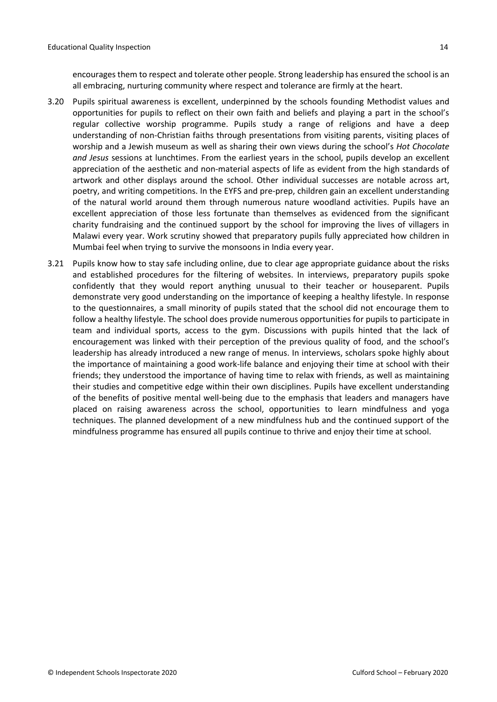encourages them to respect and tolerate other people. Strong leadership has ensured the school is an all embracing, nurturing community where respect and tolerance are firmly at the heart.

- 3.20 Pupils spiritual awareness is excellent, underpinned by the schools founding Methodist values and opportunities for pupils to reflect on their own faith and beliefs and playing a part in the school's regular collective worship programme. Pupils study a range of religions and have a deep understanding of non-Christian faiths through presentations from visiting parents, visiting places of worship and a Jewish museum as well as sharing their own views during the school's *Hot Chocolate and Jesus* sessions at lunchtimes. From the earliest years in the school, pupils develop an excellent appreciation of the aesthetic and non-material aspects of life as evident from the high standards of artwork and other displays around the school. Other individual successes are notable across art, poetry, and writing competitions. In the EYFS and pre-prep, children gain an excellent understanding of the natural world around them through numerous nature woodland activities. Pupils have an excellent appreciation of those less fortunate than themselves as evidenced from the significant charity fundraising and the continued support by the school for improving the lives of villagers in Malawi every year. Work scrutiny showed that preparatory pupils fully appreciated how children in Mumbai feel when trying to survive the monsoons in India every year.
- 3.21 Pupils know how to stay safe including online, due to clear age appropriate guidance about the risks and established procedures for the filtering of websites. In interviews, preparatory pupils spoke confidently that they would report anything unusual to their teacher or houseparent. Pupils demonstrate very good understanding on the importance of keeping a healthy lifestyle. In response to the questionnaires, a small minority of pupils stated that the school did not encourage them to follow a healthy lifestyle. The school does provide numerous opportunities for pupils to participate in team and individual sports, access to the gym. Discussions with pupils hinted that the lack of encouragement was linked with their perception of the previous quality of food, and the school's leadership has already introduced a new range of menus. In interviews, scholars spoke highly about the importance of maintaining a good work-life balance and enjoying their time at school with their friends; they understood the importance of having time to relax with friends, as well as maintaining their studies and competitive edge within their own disciplines. Pupils have excellent understanding of the benefits of positive mental well-being due to the emphasis that leaders and managers have placed on raising awareness across the school, opportunities to learn mindfulness and yoga techniques. The planned development of a new mindfulness hub and the continued support of the mindfulness programme has ensured all pupils continue to thrive and enjoy their time at school.